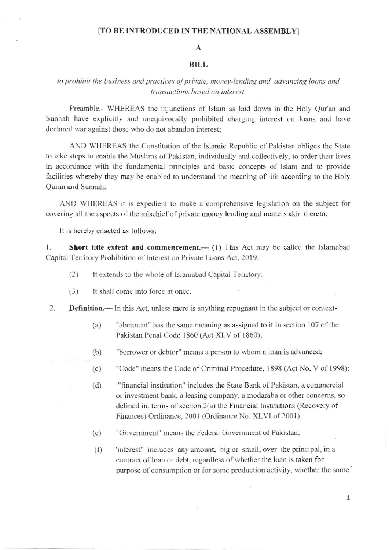## [TO BE INTRODUCED IN THE NATIONAL ASSEMBLY]

## $\mathbf{A}$

## **BILL**

## to prohibit the business and practices of private, money-lending and advancing loans and transactions based on interest.

Preamble.- WHEREAS the injunctions of Islam as laid down in the Holy Qur'an and Sunnah have explicitly and unequivocally prohibited charging interest on loans and have declared war against those who do not abandon interest;

AND WHEREAS the Constitution of the Islamic Republic of Pakistan obliges the State to take steps to enable the Muslims of Pakistan, individually and collectively, to order their lives in accordance with the fundamental principles and basic concepts of Islam and to provide facilities whereby they may be enabled to understand the meaning of life according to the Holy Quran and Sunnah:

AND WHEREAS it is expedient to make a comprehensive legislation on the subject for covering all the aspects of the mischief of private money lending and matters akin thereto;

It is hereby enacted as follows;

**Short title extent and commencement.**—  $(1)$  This Act may be called the Islamabad 1. Capital Territory Prohibition of Interest on Private Loans Act, 2019.

- It extends to the whole of Islamabad Capital Territory.  $(2)$
- It shall come into force at once.  $(3)$
- 2. **Definition.**— In this Act, unless mere is anything repugnant in the subject or context-
	- $(a)$ "abetment" has the same meaning as assigned to it in section 107 of the Pakistan Penal Code 1860 (Act XLV of 1860);
	- "borrower or debtor" means a person to whom a loan is advanced;  $(b)$
	- "Code" means the Code of Criminal Procedure, 1898 (Act No. V of 1998);  $(c)$
	- "financial institution" includes the State Bank of Pakistan, a commercial  $(d)$ or investment bank, a leasing company, a modaraba or other concerns, so defined in. terms of section  $2(a)$  the Financial Institutions (Recovery of Finances) Ordinance, 2001 (Ordinance No. XLVI of 2001);
	- "Government" means the Federal Government of Pakistan;  $(e)$
	- 'interest" includes any amount, big or small, over the principal, in a  $(f)$ contract of loan or debt, regardless of whether the loan is taken for purpose of consumption or for some production activity, whether the same

 $\mathbf{1}$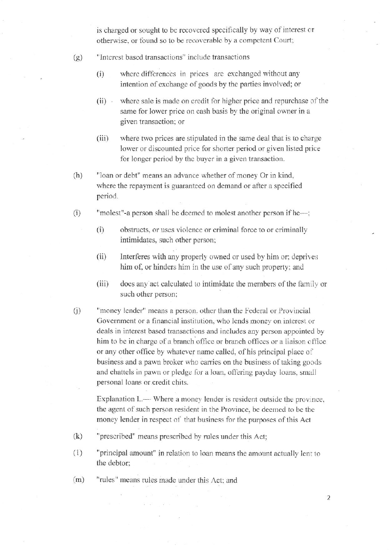is charged or sought to be recovered specifically by way of interest or otherwise, or found so to be recoverable by a competent Court;

- "Interest based transactions" include transactions  $(g)$ 
	- $(i)$ where differences in prices are exchanged without any intention of exchange of goods by the parties involved; or
	- where sale is made on credit for higher price and repurchase of the  $(ii)$ same for lower price on cash basis by the original owner in a given transaction; or
	- $(iii)$ where two prices are stipulated in the same deal that is to charge lower or discounted price for shorter period or given listed price for longer period by the buyer in a given transaction.
- "loan or debt" means an advance whether of money Or in kind,  $(h)$ where the repayment is guaranteed on demand or after a specified period.
- $(i)$ "molest"-a person shall be deemed to molest another person if he-;
	- $(i)$ obstructs, or uses violence or criminal force to or criminally intimidates, such other person;
	- Interferes with any properly owned or used by him or; deprives  $(ii)$ him of, or hinders him in the use of any such property; and
	- $(iii)$ does any act calculated to intimidate the members of the family or such other person;
- $(i)$ "money lender" means a person, other than the Federal or Provincial Government or a financial institution, who lends money on interest or deals in interest based transactions and includes any person appointed by him to be in charge of a branch office or branch offices or a liaison office or any other office by whatever name called, of his principal place of business and a pawn broker who carries on the business of taking goods and chattels in pawn or pledge for a loan, offering payday loans, small personal loans or credit chits.

Explanation I. — Where a money lender is resident outside the province, the agent of such person resident in the Province, be deemed to be the money lender in respect of that business for the purposes of this Act

- "prescribed" means prescribed by rules under this Act;  $(k)$
- $(1)$ "principal amount" in relation to loan means the amount actually lent to the debtor;
- "rules" means rules made under this Act; and  $(m)$

 $\overline{2}$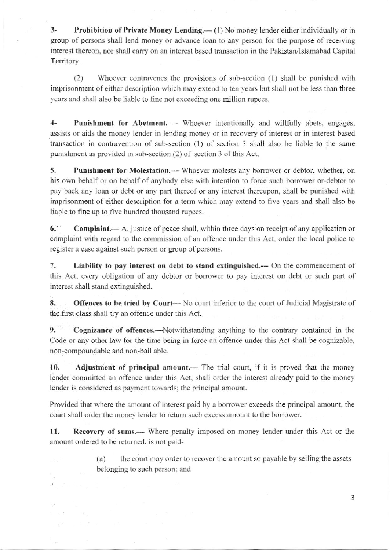3- Prohibition of Private Money Lending.— (1) No money lender either individually or in group of persons shall lend money or advance loan to any person for the purpose of receiving interest thereon, nor shall carry on an interest based transaction in the Pakistan/Islamabad Capital Territory.

(2) Whoever contravenes the provisions of sub-section (1) shall be punished with imprisonment of either description which may extend to ten years but shall not be less than three years and shall also be liable to fine not exceeding one million rupees.

4- Punishment for Abetment.— Whoever intentionally and willfully abets, engages, assists or aids the money lender in lending money or in recovery of interest or in interest based transaction in contravention of sub-section  $(1)$  of section 3 shall also be liable to the same punishment as provided in sub-section  $(2)$  of section 3 of this Act,

5. Punishment for Molestation.— Whoever molests any borrower or debtor, whether, on his own behalf or on behalf of anybody else with intention to force such borrower or-debtor to pay back any loan or debt or any part thereof or any irterest thereupon, shall be punished witb imprisonment of either description for a term which may extend to five years and shall also be liable to fine up to five hundred thousand rupees.

6. Complaint.- A, justice of peace shall, within three days on receipt of any application or complaint with regard to the commission of an offence under this Act, order the local police to register a case against such person or group of persons.

7. Liability to pay interest on debt to stand extinguished.--- On the commencement of this Act, every obligation of any debtor or borrower to pay interest on debt or such part of interest shall stand extinguished.

8. Offences to be tried by Court— No court inferior to the court of Judicial Magistrate of the first class shall try an offence under this Act.

9. Cognizance of offences.—Notwithstanding anything to the contrary contained in the Code or any other law for the time being in force an offence under this Act shall be cognizable, non-compoundable and non-bail able.

10. Adjustment of principal amount.— The trial court, if it is proved that the money lender committed an offence under this Act, shall order the interest already paid to the money lender is considered as payment towards; the principal amount.

Provided that where the amount of interest paid by a borrower exceeds the principal amount, the court shall order the money lender to return such excess amount to the borrower.

11. Recovery of sums.— Where penalty imposed on money lender under this Act or the amount ordered to be returned, is not paid-

> (a) the court may order to recover the amount so payable by selling the assets belonging to such person: anti

> > 3